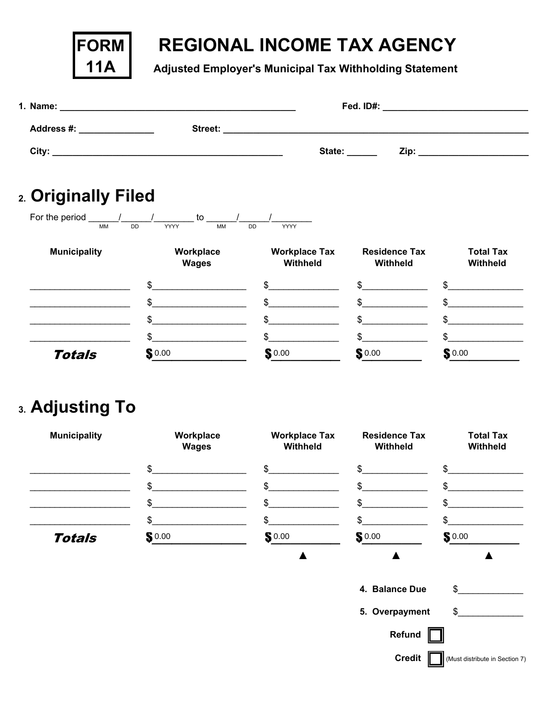| Regional Income Tax Agency        |
|-----------------------------------|
| Adjusted Employer's Municipal Tax |
| <b>Withholding Statement</b>      |



| 1. Name:                                                   | <u> 1989 - Johann Harry Harry Harry Harry Harry Harry Harry Harry Harry Harry Harry Harry Harry Harry Harry Harry</u> | Fed. ID#: | the control of the control of the control of the control of the control of the control of                                                                                                                                           |
|------------------------------------------------------------|-----------------------------------------------------------------------------------------------------------------------|-----------|-------------------------------------------------------------------------------------------------------------------------------------------------------------------------------------------------------------------------------------|
| <b>Address #:</b><br>and the control of the control of the | Street:                                                                                                               |           |                                                                                                                                                                                                                                     |
| City:                                                      |                                                                                                                       | State:    | <b>Zip:</b> The contract of the contract of the contract of the contract of the contract of the contract of the contract of the contract of the contract of the contract of the contract of the contract of the contract of the con |
|                                                            |                                                                                                                       |           |                                                                                                                                                                                                                                     |

## 2. Originally Filed

**FORM** 

**11A** 

| For the period<br><b>MM</b> | to<br><b>YYYY</b><br>MM<br><b>DD</b> | DD<br><b>YYYY</b>                |                                  |                                     |
|-----------------------------|--------------------------------------|----------------------------------|----------------------------------|-------------------------------------|
| <b>Municipality</b>         | Workplace<br><b>Wages</b>            | <b>Workplace Tax</b><br>Withheld | <b>Residence Tax</b><br>Withheld | <b>Total Tax</b><br><b>Withheld</b> |
|                             | \$.                                  | \$.                              | \$.                              |                                     |
|                             | ድ                                    | ፍ                                |                                  |                                     |
|                             | ሮ                                    | ፍ                                |                                  |                                     |
|                             | \$.                                  | \$.                              | ድ                                |                                     |
| <b>Totals</b>               | $\mathbf{S}$ 0.00                    | \$0.00                           | $\mathbf{S}$ 0.00                | S0.00                               |

## 3. Adjusting To

| <b>Municipality</b> | Workplace<br><b>Wages</b> | <b>Workplace Tax</b><br>Withheld | <b>Residence Tax</b><br>Withheld | <b>Total Tax</b><br>Withheld |
|---------------------|---------------------------|----------------------------------|----------------------------------|------------------------------|
|                     | \$                        | \$                               | \$                               | \$                           |
|                     | \$                        | \$                               | \$                               | \$.                          |
|                     | \$                        | \$                               | \$                               | \$                           |
|                     | \$                        | \$.                              | \$.                              | \$.                          |
| <b>Totals</b>       | $\mathbf{S}^{0.00}$       | $\mathbf{S}$ 0.00                | $\mathbf{S}$ 0.00                | \$0.00                       |
|                     |                           |                                  |                                  |                              |
|                     |                           |                                  | 4. Balance Due                   | \$                           |
|                     |                           |                                  | 5. Overpayment                   | \$                           |
|                     |                           |                                  | Refund                           |                              |

 $Credit$ 

(Must distribute in Section 7)